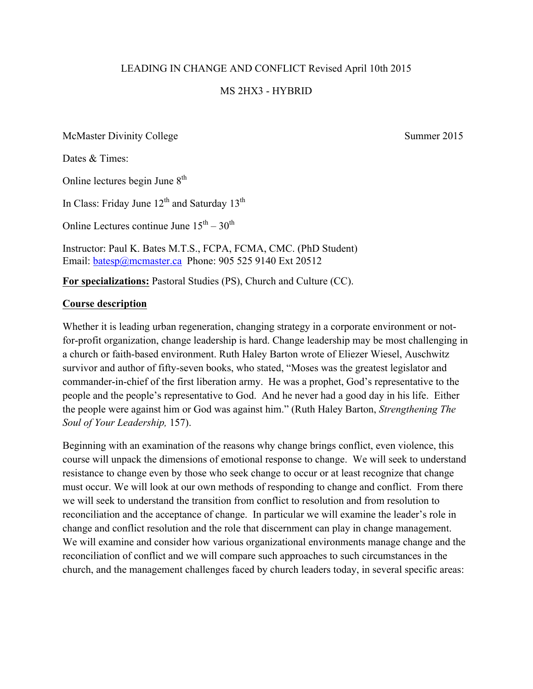#### LEADING IN CHANGE AND CONFLICT Revised April 10th 2015

#### MS 2HX3 - HYBRID

McMaster Divinity College Summer 2015

Dates & Times:

Online lectures begin June  $8<sup>th</sup>$ 

In Class: Friday June  $12^{th}$  and Saturday  $13^{th}$ 

Online Lectures continue June  $15^{th} - 30^{th}$ 

Instructor: Paul K. Bates M.T.S., FCPA, FCMA, CMC. (PhD Student) Email: batesp@mcmaster.ca Phone: 905 525 9140 Ext 20512

**For specializations:** Pastoral Studies (PS), Church and Culture (CC).

#### **Course description**

Whether it is leading urban regeneration, changing strategy in a corporate environment or notfor-profit organization, change leadership is hard. Change leadership may be most challenging in a church or faith-based environment. Ruth Haley Barton wrote of Eliezer Wiesel, Auschwitz survivor and author of fifty-seven books, who stated, "Moses was the greatest legislator and commander-in-chief of the first liberation army. He was a prophet, God's representative to the people and the people's representative to God. And he never had a good day in his life. Either the people were against him or God was against him." (Ruth Haley Barton, *Strengthening The Soul of Your Leadership,* 157).

Beginning with an examination of the reasons why change brings conflict, even violence, this course will unpack the dimensions of emotional response to change. We will seek to understand resistance to change even by those who seek change to occur or at least recognize that change must occur. We will look at our own methods of responding to change and conflict. From there we will seek to understand the transition from conflict to resolution and from resolution to reconciliation and the acceptance of change. In particular we will examine the leader's role in change and conflict resolution and the role that discernment can play in change management. We will examine and consider how various organizational environments manage change and the reconciliation of conflict and we will compare such approaches to such circumstances in the church, and the management challenges faced by church leaders today, in several specific areas: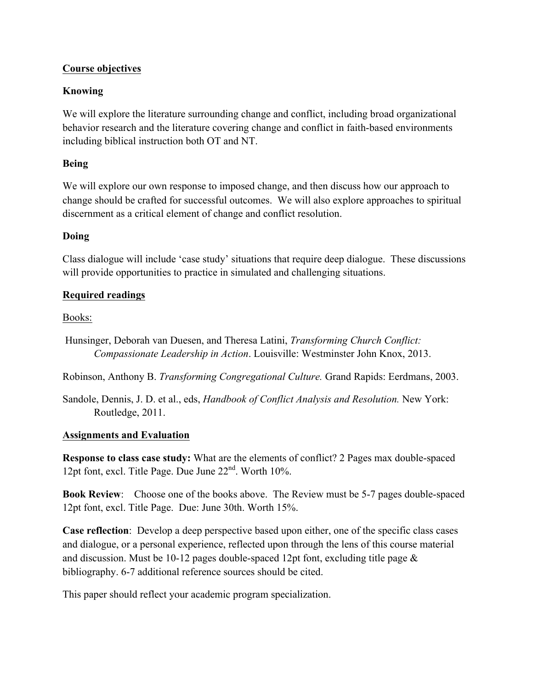### **Course objectives**

# **Knowing**

We will explore the literature surrounding change and conflict, including broad organizational behavior research and the literature covering change and conflict in faith-based environments including biblical instruction both OT and NT.

### **Being**

We will explore our own response to imposed change, and then discuss how our approach to change should be crafted for successful outcomes. We will also explore approaches to spiritual discernment as a critical element of change and conflict resolution.

### **Doing**

Class dialogue will include 'case study' situations that require deep dialogue. These discussions will provide opportunities to practice in simulated and challenging situations.

## **Required readings**

Books:

Hunsinger, Deborah van Duesen, and Theresa Latini, *Transforming Church Conflict: Compassionate Leadership in Action*. Louisville: Westminster John Knox, 2013.

Robinson, Anthony B. *Transforming Congregational Culture.* Grand Rapids: Eerdmans, 2003.

Sandole, Dennis, J. D. et al., eds, *Handbook of Conflict Analysis and Resolution.* New York: Routledge, 2011.

### **Assignments and Evaluation**

**Response to class case study:** What are the elements of conflict? 2 Pages max double-spaced 12pt font, excl. Title Page. Due June  $22<sup>nd</sup>$ . Worth 10%.

**Book Review**: Choose one of the books above. The Review must be 5-7 pages double-spaced 12pt font, excl. Title Page. Due: June 30th. Worth 15%.

**Case reflection**: Develop a deep perspective based upon either, one of the specific class cases and dialogue, or a personal experience, reflected upon through the lens of this course material and discussion. Must be 10-12 pages double-spaced 12pt font, excluding title page & bibliography. 6-7 additional reference sources should be cited.

This paper should reflect your academic program specialization.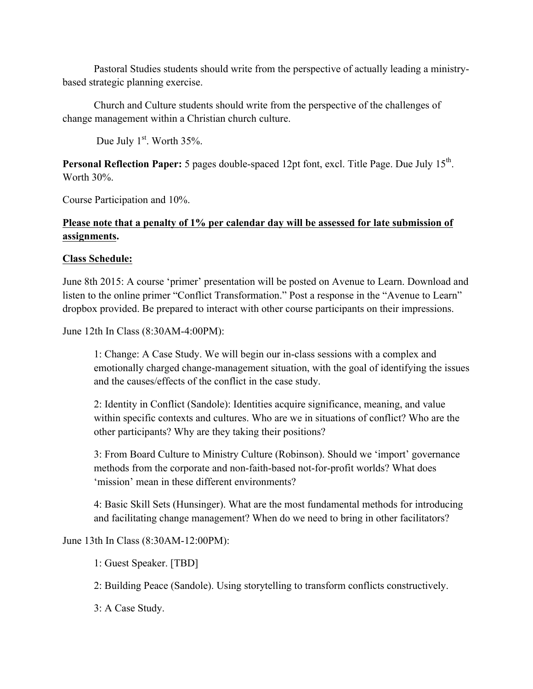Pastoral Studies students should write from the perspective of actually leading a ministrybased strategic planning exercise.

Church and Culture students should write from the perspective of the challenges of change management within a Christian church culture.

Due July  $1<sup>st</sup>$ . Worth 35%.

**Personal Reflection Paper:** 5 pages double-spaced 12pt font, excl. Title Page. Due July 15<sup>th</sup>. Worth 30%.

Course Participation and 10%.

# **Please note that a penalty of 1% per calendar day will be assessed for late submission of assignments.**

### **Class Schedule:**

June 8th 2015: A course 'primer' presentation will be posted on Avenue to Learn. Download and listen to the online primer "Conflict Transformation." Post a response in the "Avenue to Learn" dropbox provided. Be prepared to interact with other course participants on their impressions.

June 12th In Class (8:30AM-4:00PM):

1: Change: A Case Study. We will begin our in-class sessions with a complex and emotionally charged change-management situation, with the goal of identifying the issues and the causes/effects of the conflict in the case study.

2: Identity in Conflict (Sandole): Identities acquire significance, meaning, and value within specific contexts and cultures. Who are we in situations of conflict? Who are the other participants? Why are they taking their positions?

3: From Board Culture to Ministry Culture (Robinson). Should we 'import' governance methods from the corporate and non-faith-based not-for-profit worlds? What does 'mission' mean in these different environments?

4: Basic Skill Sets (Hunsinger). What are the most fundamental methods for introducing and facilitating change management? When do we need to bring in other facilitators?

June 13th In Class (8:30AM-12:00PM):

1: Guest Speaker. [TBD]

2: Building Peace (Sandole). Using storytelling to transform conflicts constructively.

3: A Case Study.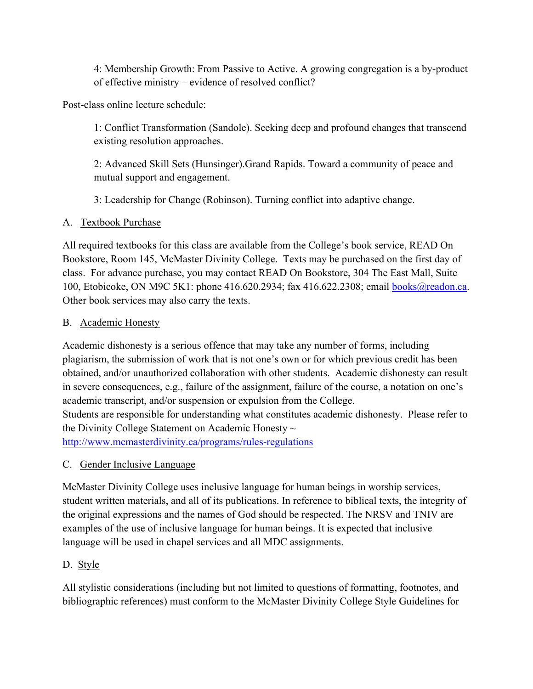4: Membership Growth: From Passive to Active. A growing congregation is a by-product of effective ministry – evidence of resolved conflict?

Post-class online lecture schedule:

1: Conflict Transformation (Sandole). Seeking deep and profound changes that transcend existing resolution approaches.

2: Advanced Skill Sets (Hunsinger).Grand Rapids. Toward a community of peace and mutual support and engagement.

3: Leadership for Change (Robinson). Turning conflict into adaptive change.

## A. Textbook Purchase

All required textbooks for this class are available from the College's book service, READ On Bookstore, Room 145, McMaster Divinity College. Texts may be purchased on the first day of class. For advance purchase, you may contact READ On Bookstore, 304 The East Mall, Suite 100, Etobicoke, ON M9C 5K1: phone 416.620.2934; fax 416.622.2308; email books@readon.ca. Other book services may also carry the texts.

## B. Academic Honesty

Academic dishonesty is a serious offence that may take any number of forms, including plagiarism, the submission of work that is not one's own or for which previous credit has been obtained, and/or unauthorized collaboration with other students. Academic dishonesty can result in severe consequences, e.g., failure of the assignment, failure of the course, a notation on one's academic transcript, and/or suspension or expulsion from the College. Students are responsible for understanding what constitutes academic dishonesty. Please refer to the Divinity College Statement on Academic Honesty  $\sim$ http://www.mcmasterdivinity.ca/programs/rules-regulations

C. Gender Inclusive Language

McMaster Divinity College uses inclusive language for human beings in worship services, student written materials, and all of its publications. In reference to biblical texts, the integrity of the original expressions and the names of God should be respected. The NRSV and TNIV are examples of the use of inclusive language for human beings. It is expected that inclusive language will be used in chapel services and all MDC assignments.

# D. Style

All stylistic considerations (including but not limited to questions of formatting, footnotes, and bibliographic references) must conform to the McMaster Divinity College Style Guidelines for